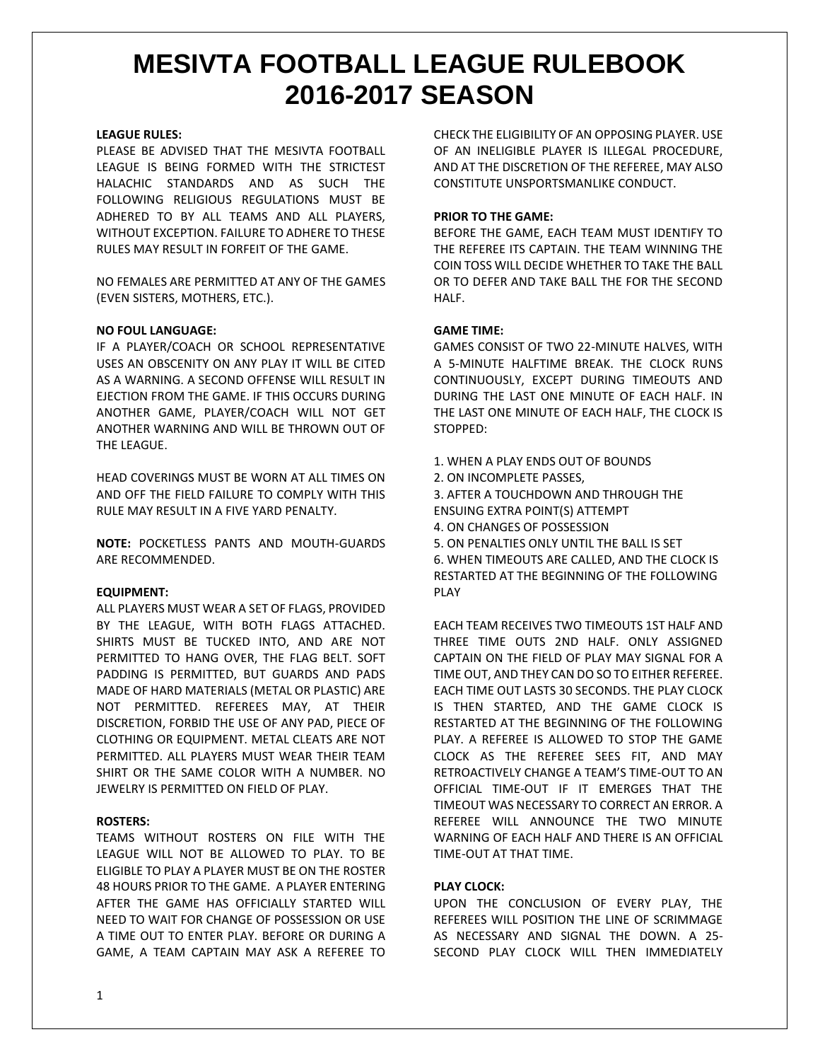### **LEAGUE RULES:**

PLEASE BE ADVISED THAT THE MESIVTA FOOTBALL LEAGUE IS BEING FORMED WITH THE STRICTEST HALACHIC STANDARDS AND AS SUCH THE FOLLOWING RELIGIOUS REGULATIONS MUST BE ADHERED TO BY ALL TEAMS AND ALL PLAYERS, WITHOUT EXCEPTION. FAILURE TO ADHERE TO THESE RULES MAY RESULT IN FORFEIT OF THE GAME.

NO FEMALES ARE PERMITTED AT ANY OF THE GAMES (EVEN SISTERS, MOTHERS, ETC.).

## **NO FOUL LANGUAGE:**

IF A PLAYER/COACH OR SCHOOL REPRESENTATIVE USES AN OBSCENITY ON ANY PLAY IT WILL BE CITED AS A WARNING. A SECOND OFFENSE WILL RESULT IN EJECTION FROM THE GAME. IF THIS OCCURS DURING ANOTHER GAME, PLAYER/COACH WILL NOT GET ANOTHER WARNING AND WILL BE THROWN OUT OF THE LEAGUE.

HEAD COVERINGS MUST BE WORN AT ALL TIMES ON AND OFF THE FIELD FAILURE TO COMPLY WITH THIS RULE MAY RESULT IN A FIVE YARD PENALTY.

**NOTE:** POCKETLESS PANTS AND MOUTH-GUARDS ARE RECOMMENDED.

# **EQUIPMENT:**

ALL PLAYERS MUST WEAR A SET OF FLAGS, PROVIDED BY THE LEAGUE, WITH BOTH FLAGS ATTACHED. SHIRTS MUST BE TUCKED INTO, AND ARE NOT PERMITTED TO HANG OVER, THE FLAG BELT. SOFT PADDING IS PERMITTED, BUT GUARDS AND PADS MADE OF HARD MATERIALS (METAL OR PLASTIC) ARE NOT PERMITTED. REFEREES MAY, AT THEIR DISCRETION, FORBID THE USE OF ANY PAD, PIECE OF CLOTHING OR EQUIPMENT. METAL CLEATS ARE NOT PERMITTED. ALL PLAYERS MUST WEAR THEIR TEAM SHIRT OR THE SAME COLOR WITH A NUMBER. NO JEWELRY IS PERMITTED ON FIELD OF PLAY.

# **ROSTERS:**

TEAMS WITHOUT ROSTERS ON FILE WITH THE LEAGUE WILL NOT BE ALLOWED TO PLAY. TO BE ELIGIBLE TO PLAY A PLAYER MUST BE ON THE ROSTER 48 HOURS PRIOR TO THE GAME. A PLAYER ENTERING AFTER THE GAME HAS OFFICIALLY STARTED WILL NEED TO WAIT FOR CHANGE OF POSSESSION OR USE A TIME OUT TO ENTER PLAY. BEFORE OR DURING A GAME, A TEAM CAPTAIN MAY ASK A REFEREE TO CHECK THE ELIGIBILITY OF AN OPPOSING PLAYER. USE OF AN INELIGIBLE PLAYER IS ILLEGAL PROCEDURE, AND AT THE DISCRETION OF THE REFEREE, MAY ALSO CONSTITUTE UNSPORTSMANLIKE CONDUCT.

### **PRIOR TO THE GAME:**

BEFORE THE GAME, EACH TEAM MUST IDENTIFY TO THE REFEREE ITS CAPTAIN. THE TEAM WINNING THE COIN TOSS WILL DECIDE WHETHER TO TAKE THE BALL OR TO DEFER AND TAKE BALL THE FOR THE SECOND HALF.

## **GAME TIME:**

GAMES CONSIST OF TWO 22-MINUTE HALVES, WITH A 5-MINUTE HALFTIME BREAK. THE CLOCK RUNS CONTINUOUSLY, EXCEPT DURING TIMEOUTS AND DURING THE LAST ONE MINUTE OF EACH HALF. IN THE LAST ONE MINUTE OF EACH HALF, THE CLOCK IS STOPPED:

- 1. WHEN A PLAY ENDS OUT OF BOUNDS
- 2. ON INCOMPLETE PASSES,
- 3. AFTER A TOUCHDOWN AND THROUGH THE ENSUING EXTRA POINT(S) ATTEMPT
- 4. ON CHANGES OF POSSESSION
- 5. ON PENALTIES ONLY UNTIL THE BALL IS SET

6. WHEN TIMEOUTS ARE CALLED, AND THE CLOCK IS RESTARTED AT THE BEGINNING OF THE FOLLOWING PLAY

EACH TEAM RECEIVES TWO TIMEOUTS 1ST HALF AND THREE TIME OUTS 2ND HALF. ONLY ASSIGNED CAPTAIN ON THE FIELD OF PLAY MAY SIGNAL FOR A TIME OUT, AND THEY CAN DO SO TO EITHER REFEREE. EACH TIME OUT LASTS 30 SECONDS. THE PLAY CLOCK IS THEN STARTED, AND THE GAME CLOCK IS RESTARTED AT THE BEGINNING OF THE FOLLOWING PLAY. A REFEREE IS ALLOWED TO STOP THE GAME CLOCK AS THE REFEREE SEES FIT, AND MAY RETROACTIVELY CHANGE A TEAM'S TIME-OUT TO AN OFFICIAL TIME-OUT IF IT EMERGES THAT THE TIMEOUT WAS NECESSARY TO CORRECT AN ERROR. A REFEREE WILL ANNOUNCE THE TWO MINUTE WARNING OF EACH HALF AND THERE IS AN OFFICIAL TIME-OUT AT THAT TIME.

# **PLAY CLOCK:**

UPON THE CONCLUSION OF EVERY PLAY, THE REFEREES WILL POSITION THE LINE OF SCRIMMAGE AS NECESSARY AND SIGNAL THE DOWN. A 25- SECOND PLAY CLOCK WILL THEN IMMEDIATELY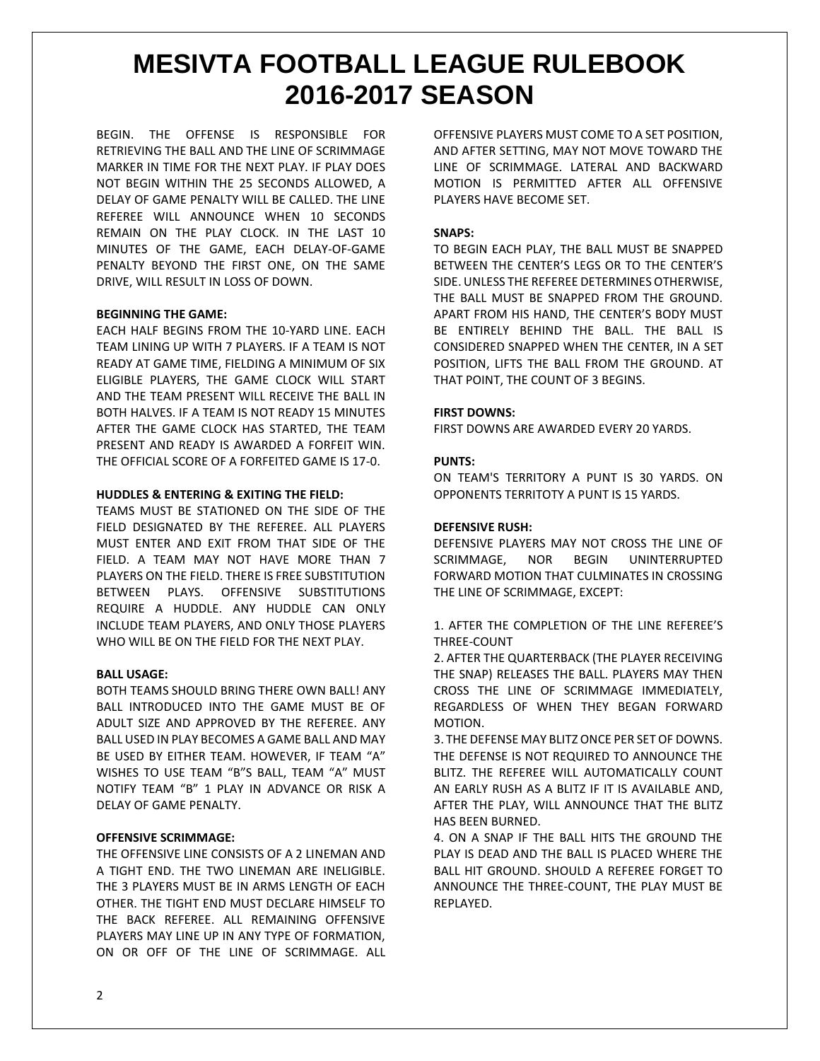BEGIN. THE OFFENSE IS RESPONSIBLE FOR RETRIEVING THE BALL AND THE LINE OF SCRIMMAGE MARKER IN TIME FOR THE NEXT PLAY. IF PLAY DOES NOT BEGIN WITHIN THE 25 SECONDS ALLOWED, A DELAY OF GAME PENALTY WILL BE CALLED. THE LINE REFEREE WILL ANNOUNCE WHEN 10 SECONDS REMAIN ON THE PLAY CLOCK. IN THE LAST 10 MINUTES OF THE GAME, EACH DELAY-OF-GAME PENALTY BEYOND THE FIRST ONE, ON THE SAME DRIVE, WILL RESULT IN LOSS OF DOWN.

# **BEGINNING THE GAME:**

EACH HALF BEGINS FROM THE 10-YARD LINE. EACH TEAM LINING UP WITH 7 PLAYERS. IF A TEAM IS NOT READY AT GAME TIME, FIELDING A MINIMUM OF SIX ELIGIBLE PLAYERS, THE GAME CLOCK WILL START AND THE TEAM PRESENT WILL RECEIVE THE BALL IN BOTH HALVES. IF A TEAM IS NOT READY 15 MINUTES AFTER THE GAME CLOCK HAS STARTED, THE TEAM PRESENT AND READY IS AWARDED A FORFEIT WIN. THE OFFICIAL SCORE OF A FORFEITED GAME IS 17-0.

# **HUDDLES & ENTERING & EXITING THE FIELD:**

TEAMS MUST BE STATIONED ON THE SIDE OF THE FIELD DESIGNATED BY THE REFEREE. ALL PLAYERS MUST ENTER AND EXIT FROM THAT SIDE OF THE FIELD. A TEAM MAY NOT HAVE MORE THAN 7 PLAYERS ON THE FIELD. THERE IS FREE SUBSTITUTION BETWEEN PLAYS. OFFENSIVE SUBSTITUTIONS REQUIRE A HUDDLE. ANY HUDDLE CAN ONLY INCLUDE TEAM PLAYERS, AND ONLY THOSE PLAYERS WHO WILL BE ON THE FIELD FOR THE NEXT PLAY.

#### **BALL USAGE:**

BOTH TEAMS SHOULD BRING THERE OWN BALL! ANY BALL INTRODUCED INTO THE GAME MUST BE OF ADULT SIZE AND APPROVED BY THE REFEREE. ANY BALL USED IN PLAY BECOMES A GAME BALL AND MAY BE USED BY EITHER TEAM. HOWEVER, IF TEAM "A" WISHES TO USE TEAM "B"S BALL, TEAM "A" MUST NOTIFY TEAM "B" 1 PLAY IN ADVANCE OR RISK A DELAY OF GAME PENALTY.

#### **OFFENSIVE SCRIMMAGE:**

THE OFFENSIVE LINE CONSISTS OF A 2 LINEMAN AND A TIGHT END. THE TWO LINEMAN ARE INELIGIBLE. THE 3 PLAYERS MUST BE IN ARMS LENGTH OF EACH OTHER. THE TIGHT END MUST DECLARE HIMSELF TO THE BACK REFEREE. ALL REMAINING OFFENSIVE PLAYERS MAY LINE UP IN ANY TYPE OF FORMATION, ON OR OFF OF THE LINE OF SCRIMMAGE. ALL OFFENSIVE PLAYERS MUST COME TO A SET POSITION, AND AFTER SETTING, MAY NOT MOVE TOWARD THE LINE OF SCRIMMAGE. LATERAL AND BACKWARD MOTION IS PERMITTED AFTER ALL OFFENSIVE PLAYERS HAVE BECOME SET.

## **SNAPS:**

TO BEGIN EACH PLAY, THE BALL MUST BE SNAPPED BETWEEN THE CENTER'S LEGS OR TO THE CENTER'S SIDE. UNLESS THE REFEREE DETERMINES OTHERWISE, THE BALL MUST BE SNAPPED FROM THE GROUND. APART FROM HIS HAND, THE CENTER'S BODY MUST BE ENTIRELY BEHIND THE BALL. THE BALL IS CONSIDERED SNAPPED WHEN THE CENTER, IN A SET POSITION, LIFTS THE BALL FROM THE GROUND. AT THAT POINT, THE COUNT OF 3 BEGINS.

### **FIRST DOWNS:**

FIRST DOWNS ARE AWARDED EVERY 20 YARDS.

# **PUNTS:**

ON TEAM'S TERRITORY A PUNT IS 30 YARDS. ON OPPONENTS TERRITOTY A PUNT IS 15 YARDS.

#### **DEFENSIVE RUSH:**

DEFENSIVE PLAYERS MAY NOT CROSS THE LINE OF SCRIMMAGE, NOR BEGIN UNINTERRUPTED FORWARD MOTION THAT CULMINATES IN CROSSING THE LINE OF SCRIMMAGE, EXCEPT:

1. AFTER THE COMPLETION OF THE LINE REFEREE'S THREE-COUNT

2. AFTER THE QUARTERBACK (THE PLAYER RECEIVING THE SNAP) RELEASES THE BALL. PLAYERS MAY THEN CROSS THE LINE OF SCRIMMAGE IMMEDIATELY, REGARDLESS OF WHEN THEY BEGAN FORWARD MOTION.

3. THE DEFENSE MAY BLITZ ONCE PER SET OF DOWNS. THE DEFENSE IS NOT REQUIRED TO ANNOUNCE THE BLITZ. THE REFEREE WILL AUTOMATICALLY COUNT AN EARLY RUSH AS A BLITZ IF IT IS AVAILABLE AND, AFTER THE PLAY, WILL ANNOUNCE THAT THE BLITZ HAS BEEN BURNED.

4. ON A SNAP IF THE BALL HITS THE GROUND THE PLAY IS DEAD AND THE BALL IS PLACED WHERE THE BALL HIT GROUND. SHOULD A REFEREE FORGET TO ANNOUNCE THE THREE-COUNT, THE PLAY MUST BE REPLAYED.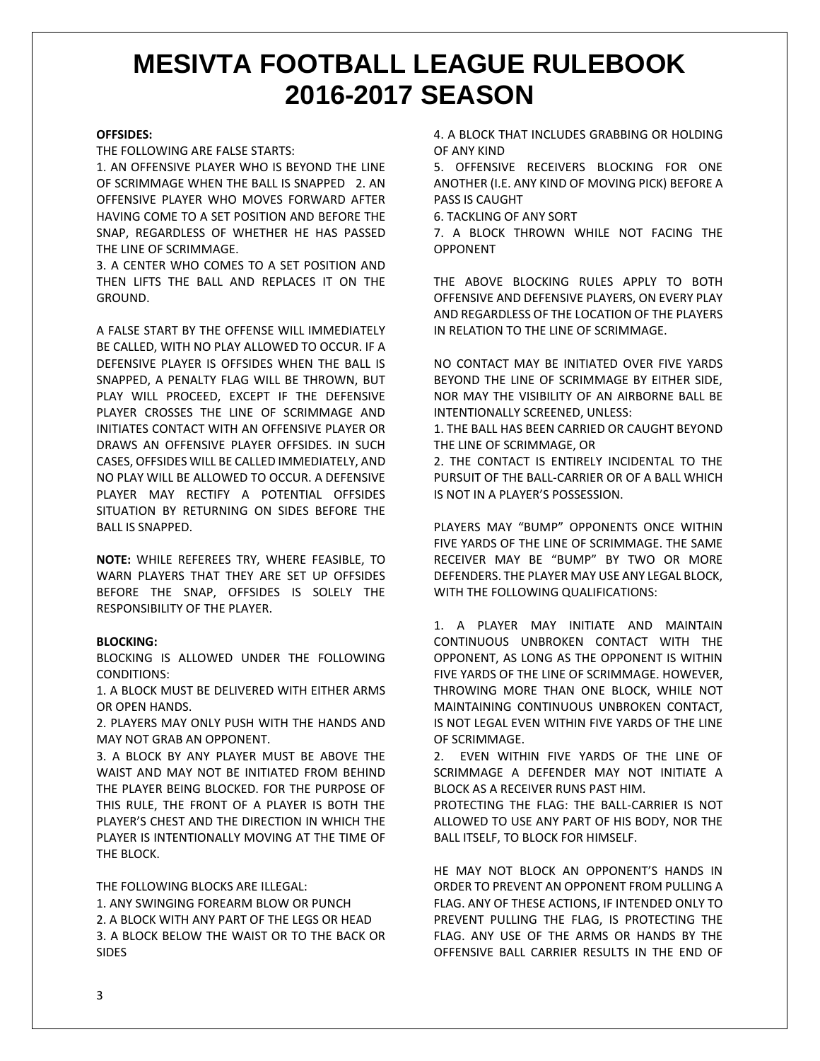#### **OFFSIDES:**

THE FOLLOWING ARE FALSE STARTS:

1. AN OFFENSIVE PLAYER WHO IS BEYOND THE LINE OF SCRIMMAGE WHEN THE BALL IS SNAPPED 2. AN OFFENSIVE PLAYER WHO MOVES FORWARD AFTER HAVING COME TO A SET POSITION AND BEFORE THE SNAP, REGARDLESS OF WHETHER HE HAS PASSED THE LINE OF SCRIMMAGE.

3. A CENTER WHO COMES TO A SET POSITION AND THEN LIFTS THE BALL AND REPLACES IT ON THE GROUND.

A FALSE START BY THE OFFENSE WILL IMMEDIATELY BE CALLED, WITH NO PLAY ALLOWED TO OCCUR. IF A DEFENSIVE PLAYER IS OFFSIDES WHEN THE BALL IS SNAPPED, A PENALTY FLAG WILL BE THROWN, BUT PLAY WILL PROCEED, EXCEPT IF THE DEFENSIVE PLAYER CROSSES THE LINE OF SCRIMMAGE AND INITIATES CONTACT WITH AN OFFENSIVE PLAYER OR DRAWS AN OFFENSIVE PLAYER OFFSIDES. IN SUCH CASES, OFFSIDES WILL BE CALLED IMMEDIATELY, AND NO PLAY WILL BE ALLOWED TO OCCUR. A DEFENSIVE PLAYER MAY RECTIFY A POTENTIAL OFFSIDES SITUATION BY RETURNING ON SIDES BEFORE THE BALL IS SNAPPED.

**NOTE:** WHILE REFEREES TRY, WHERE FEASIBLE, TO WARN PLAYERS THAT THEY ARE SET UP OFFSIDES BEFORE THE SNAP, OFFSIDES IS SOLELY THE RESPONSIBILITY OF THE PLAYER.

## **BLOCKING:**

BLOCKING IS ALLOWED UNDER THE FOLLOWING CONDITIONS:

1. A BLOCK MUST BE DELIVERED WITH EITHER ARMS OR OPEN HANDS.

2. PLAYERS MAY ONLY PUSH WITH THE HANDS AND MAY NOT GRAB AN OPPONENT.

3. A BLOCK BY ANY PLAYER MUST BE ABOVE THE WAIST AND MAY NOT BE INITIATED FROM BEHIND THE PLAYER BEING BLOCKED. FOR THE PURPOSE OF THIS RULE, THE FRONT OF A PLAYER IS BOTH THE PLAYER'S CHEST AND THE DIRECTION IN WHICH THE PLAYER IS INTENTIONALLY MOVING AT THE TIME OF THE BLOCK.

THE FOLLOWING BLOCKS ARE ILLEGAL:

1. ANY SWINGING FOREARM BLOW OR PUNCH 2. A BLOCK WITH ANY PART OF THE LEGS OR HEAD 3. A BLOCK BELOW THE WAIST OR TO THE BACK OR SIDES

4. A BLOCK THAT INCLUDES GRABBING OR HOLDING OF ANY KIND

5. OFFENSIVE RECEIVERS BLOCKING FOR ONE ANOTHER (I.E. ANY KIND OF MOVING PICK) BEFORE A PASS IS CAUGHT

6. TACKLING OF ANY SORT

7. A BLOCK THROWN WHILE NOT FACING THE OPPONENT

THE ABOVE BLOCKING RULES APPLY TO BOTH OFFENSIVE AND DEFENSIVE PLAYERS, ON EVERY PLAY AND REGARDLESS OF THE LOCATION OF THE PLAYERS IN RELATION TO THE LINE OF SCRIMMAGE.

NO CONTACT MAY BE INITIATED OVER FIVE YARDS BEYOND THE LINE OF SCRIMMAGE BY EITHER SIDE, NOR MAY THE VISIBILITY OF AN AIRBORNE BALL BE INTENTIONALLY SCREENED, UNLESS:

1. THE BALL HAS BEEN CARRIED OR CAUGHT BEYOND THE LINE OF SCRIMMAGE, OR

2. THE CONTACT IS ENTIRELY INCIDENTAL TO THE PURSUIT OF THE BALL-CARRIER OR OF A BALL WHICH IS NOT IN A PLAYER'S POSSESSION.

PLAYERS MAY "BUMP" OPPONENTS ONCE WITHIN FIVE YARDS OF THE LINE OF SCRIMMAGE. THE SAME RECEIVER MAY BE "BUMP" BY TWO OR MORE DEFENDERS. THE PLAYER MAY USE ANY LEGAL BLOCK, WITH THE FOLLOWING QUALIFICATIONS:

1. A PLAYER MAY INITIATE AND MAINTAIN CONTINUOUS UNBROKEN CONTACT WITH THE OPPONENT, AS LONG AS THE OPPONENT IS WITHIN FIVE YARDS OF THE LINE OF SCRIMMAGE. HOWEVER, THROWING MORE THAN ONE BLOCK, WHILE NOT MAINTAINING CONTINUOUS UNBROKEN CONTACT, IS NOT LEGAL EVEN WITHIN FIVE YARDS OF THE LINE OF SCRIMMAGE.

2. EVEN WITHIN FIVE YARDS OF THE LINE OF SCRIMMAGE A DEFENDER MAY NOT INITIATE A BLOCK AS A RECEIVER RUNS PAST HIM.

PROTECTING THE FLAG: THE BALL-CARRIER IS NOT ALLOWED TO USE ANY PART OF HIS BODY, NOR THE BALL ITSELF, TO BLOCK FOR HIMSELF.

HE MAY NOT BLOCK AN OPPONENT'S HANDS IN ORDER TO PREVENT AN OPPONENT FROM PULLING A FLAG. ANY OF THESE ACTIONS, IF INTENDED ONLY TO PREVENT PULLING THE FLAG, IS PROTECTING THE FLAG. ANY USE OF THE ARMS OR HANDS BY THE OFFENSIVE BALL CARRIER RESULTS IN THE END OF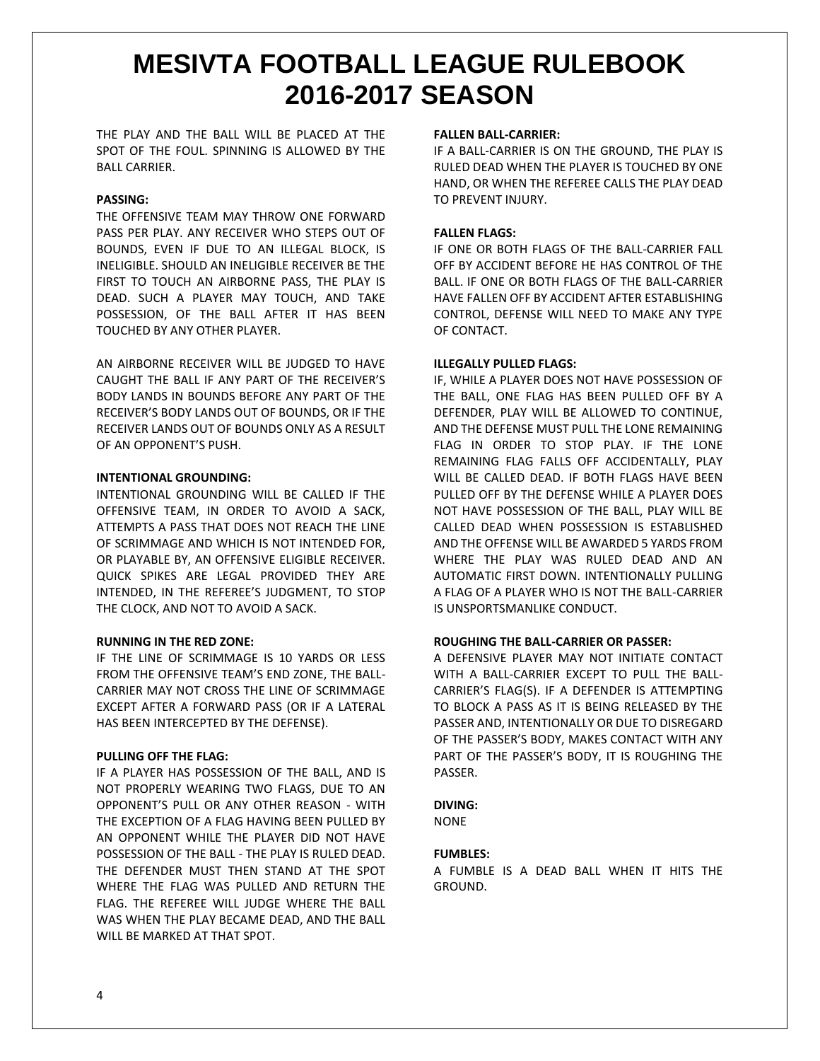THE PLAY AND THE BALL WILL BE PLACED AT THE SPOT OF THE FOUL. SPINNING IS ALLOWED BY THE BALL CARRIER.

# **PASSING:**

THE OFFENSIVE TEAM MAY THROW ONE FORWARD PASS PER PLAY. ANY RECEIVER WHO STEPS OUT OF BOUNDS, EVEN IF DUE TO AN ILLEGAL BLOCK, IS INELIGIBLE. SHOULD AN INELIGIBLE RECEIVER BE THE FIRST TO TOUCH AN AIRBORNE PASS, THE PLAY IS DEAD. SUCH A PLAYER MAY TOUCH, AND TAKE POSSESSION, OF THE BALL AFTER IT HAS BEEN TOUCHED BY ANY OTHER PLAYER.

AN AIRBORNE RECEIVER WILL BE JUDGED TO HAVE CAUGHT THE BALL IF ANY PART OF THE RECEIVER'S BODY LANDS IN BOUNDS BEFORE ANY PART OF THE RECEIVER'S BODY LANDS OUT OF BOUNDS, OR IF THE RECEIVER LANDS OUT OF BOUNDS ONLY AS A RESULT OF AN OPPONENT'S PUSH.

## **INTENTIONAL GROUNDING:**

INTENTIONAL GROUNDING WILL BE CALLED IF THE OFFENSIVE TEAM, IN ORDER TO AVOID A SACK, ATTEMPTS A PASS THAT DOES NOT REACH THE LINE OF SCRIMMAGE AND WHICH IS NOT INTENDED FOR, OR PLAYABLE BY, AN OFFENSIVE ELIGIBLE RECEIVER. QUICK SPIKES ARE LEGAL PROVIDED THEY ARE INTENDED, IN THE REFEREE'S JUDGMENT, TO STOP THE CLOCK, AND NOT TO AVOID A SACK.

#### **RUNNING IN THE RED ZONE:**

IF THE LINE OF SCRIMMAGE IS 10 YARDS OR LESS FROM THE OFFENSIVE TEAM'S END ZONE, THE BALL-CARRIER MAY NOT CROSS THE LINE OF SCRIMMAGE EXCEPT AFTER A FORWARD PASS (OR IF A LATERAL HAS BEEN INTERCEPTED BY THE DEFENSE).

#### **PULLING OFF THE FLAG:**

IF A PLAYER HAS POSSESSION OF THE BALL, AND IS NOT PROPERLY WEARING TWO FLAGS, DUE TO AN OPPONENT'S PULL OR ANY OTHER REASON - WITH THE EXCEPTION OF A FLAG HAVING BEEN PULLED BY AN OPPONENT WHILE THE PLAYER DID NOT HAVE POSSESSION OF THE BALL - THE PLAY IS RULED DEAD. THE DEFENDER MUST THEN STAND AT THE SPOT WHERE THE FLAG WAS PULLED AND RETURN THE FLAG. THE REFEREE WILL JUDGE WHERE THE BALL WAS WHEN THE PLAY BECAME DEAD, AND THE BALL WILL BE MARKED AT THAT SPOT.

#### **FALLEN BALL-CARRIER:**

IF A BALL-CARRIER IS ON THE GROUND, THE PLAY IS RULED DEAD WHEN THE PLAYER IS TOUCHED BY ONE HAND, OR WHEN THE REFEREE CALLS THE PLAY DEAD TO PREVENT INJURY.

## **FALLEN FLAGS:**

IF ONE OR BOTH FLAGS OF THE BALL-CARRIER FALL OFF BY ACCIDENT BEFORE HE HAS CONTROL OF THE BALL. IF ONE OR BOTH FLAGS OF THE BALL-CARRIER HAVE FALLEN OFF BY ACCIDENT AFTER ESTABLISHING CONTROL, DEFENSE WILL NEED TO MAKE ANY TYPE OF CONTACT.

## **ILLEGALLY PULLED FLAGS:**

IF, WHILE A PLAYER DOES NOT HAVE POSSESSION OF THE BALL, ONE FLAG HAS BEEN PULLED OFF BY A DEFENDER, PLAY WILL BE ALLOWED TO CONTINUE, AND THE DEFENSE MUST PULL THE LONE REMAINING FLAG IN ORDER TO STOP PLAY. IF THE LONE REMAINING FLAG FALLS OFF ACCIDENTALLY, PLAY WILL BE CALLED DEAD. IF BOTH FLAGS HAVE BEEN PULLED OFF BY THE DEFENSE WHILE A PLAYER DOES NOT HAVE POSSESSION OF THE BALL, PLAY WILL BE CALLED DEAD WHEN POSSESSION IS ESTABLISHED AND THE OFFENSE WILL BE AWARDED 5 YARDS FROM WHERE THE PLAY WAS RULED DEAD AND AN AUTOMATIC FIRST DOWN. INTENTIONALLY PULLING A FLAG OF A PLAYER WHO IS NOT THE BALL-CARRIER IS UNSPORTSMANLIKE CONDUCT.

# **ROUGHING THE BALL-CARRIER OR PASSER:**

A DEFENSIVE PLAYER MAY NOT INITIATE CONTACT WITH A BALL-CARRIER EXCEPT TO PULL THE BALL-CARRIER'S FLAG(S). IF A DEFENDER IS ATTEMPTING TO BLOCK A PASS AS IT IS BEING RELEASED BY THE PASSER AND, INTENTIONALLY OR DUE TO DISREGARD OF THE PASSER'S BODY, MAKES CONTACT WITH ANY PART OF THE PASSER'S BODY, IT IS ROUGHING THE PASSER.

# **DIVING:**

NONE

# **FUMBLES:**

A FUMBLE IS A DEAD BALL WHEN IT HITS THE GROUND.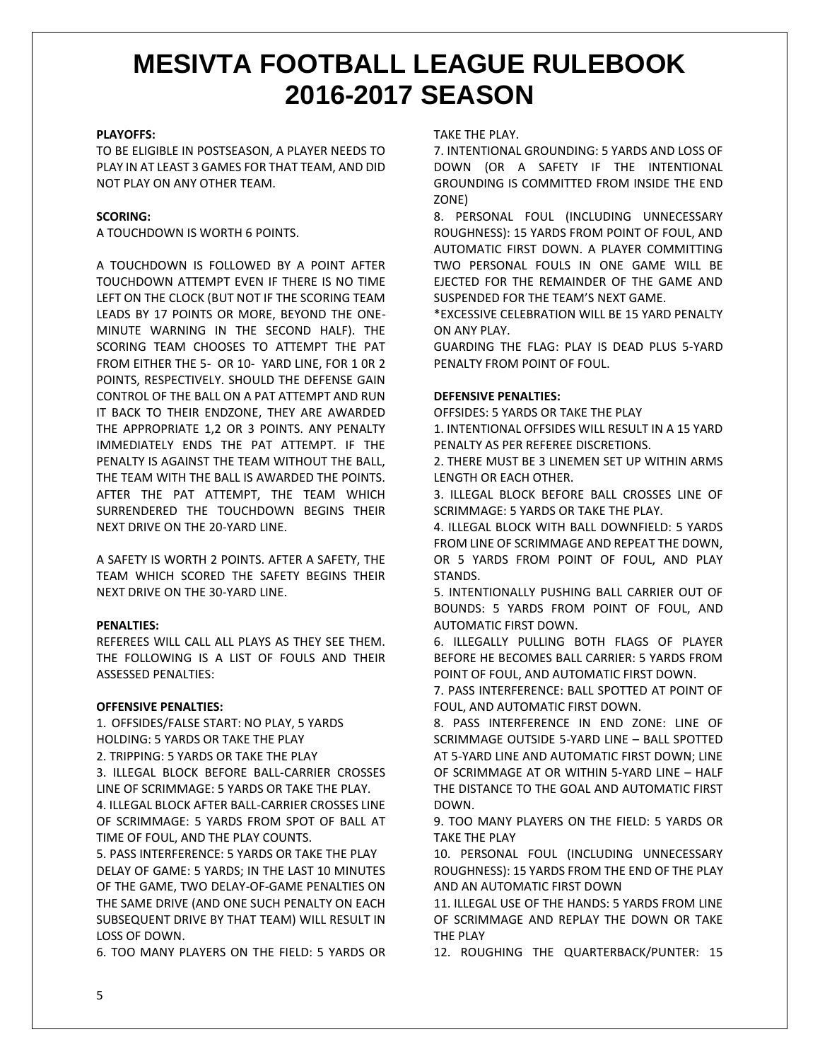## **PLAYOFFS:**

TO BE ELIGIBLE IN POSTSEASON, A PLAYER NEEDS TO PLAY IN AT LEAST 3 GAMES FOR THAT TEAM, AND DID NOT PLAY ON ANY OTHER TEAM.

# **SCORING:**

A TOUCHDOWN IS WORTH 6 POINTS.

A TOUCHDOWN IS FOLLOWED BY A POINT AFTER TOUCHDOWN ATTEMPT EVEN IF THERE IS NO TIME LEFT ON THE CLOCK (BUT NOT IF THE SCORING TEAM LEADS BY 17 POINTS OR MORE, BEYOND THE ONE-MINUTE WARNING IN THE SECOND HALF). THE SCORING TEAM CHOOSES TO ATTEMPT THE PAT FROM EITHER THE 5- OR 10- YARD LINE, FOR 1 0R 2 POINTS, RESPECTIVELY. SHOULD THE DEFENSE GAIN CONTROL OF THE BALL ON A PAT ATTEMPT AND RUN IT BACK TO THEIR ENDZONE, THEY ARE AWARDED THE APPROPRIATE 1,2 OR 3 POINTS. ANY PENALTY IMMEDIATELY ENDS THE PAT ATTEMPT. IF THE PENALTY IS AGAINST THE TEAM WITHOUT THE BALL, THE TEAM WITH THE BALL IS AWARDED THE POINTS. AFTER THE PAT ATTEMPT, THE TEAM WHICH SURRENDERED THE TOUCHDOWN BEGINS THEIR NEXT DRIVE ON THE 20-YARD LINE.

A SAFETY IS WORTH 2 POINTS. AFTER A SAFETY, THE TEAM WHICH SCORED THE SAFETY BEGINS THEIR NEXT DRIVE ON THE 30-YARD LINE.

#### **PENALTIES:**

REFEREES WILL CALL ALL PLAYS AS THEY SEE THEM. THE FOLLOWING IS A LIST OF FOULS AND THEIR ASSESSED PENALTIES:

#### **OFFENSIVE PENALTIES:**

1. OFFSIDES/FALSE START: NO PLAY, 5 YARDS HOLDING: 5 YARDS OR TAKE THE PLAY 2. TRIPPING: 5 YARDS OR TAKE THE PLAY 3. ILLEGAL BLOCK BEFORE BALL-CARRIER CROSSES LINE OF SCRIMMAGE: 5 YARDS OR TAKE THE PLAY. 4. ILLEGAL BLOCK AFTER BALL-CARRIER CROSSES LINE OF SCRIMMAGE: 5 YARDS FROM SPOT OF BALL AT TIME OF FOUL, AND THE PLAY COUNTS. 5. PASS INTERFERENCE: 5 YARDS OR TAKE THE PLAY

DELAY OF GAME: 5 YARDS; IN THE LAST 10 MINUTES OF THE GAME, TWO DELAY-OF-GAME PENALTIES ON THE SAME DRIVE (AND ONE SUCH PENALTY ON EACH SUBSEQUENT DRIVE BY THAT TEAM) WILL RESULT IN LOSS OF DOWN.

6. TOO MANY PLAYERS ON THE FIELD: 5 YARDS OR

TAKE THE PLAY.

7. INTENTIONAL GROUNDING: 5 YARDS AND LOSS OF DOWN (OR A SAFETY IF THE INTENTIONAL GROUNDING IS COMMITTED FROM INSIDE THE END ZONE)

8. PERSONAL FOUL (INCLUDING UNNECESSARY ROUGHNESS): 15 YARDS FROM POINT OF FOUL, AND AUTOMATIC FIRST DOWN. A PLAYER COMMITTING TWO PERSONAL FOULS IN ONE GAME WILL BE EJECTED FOR THE REMAINDER OF THE GAME AND SUSPENDED FOR THE TEAM'S NEXT GAME.

\*EXCESSIVE CELEBRATION WILL BE 15 YARD PENALTY ON ANY PLAY.

GUARDING THE FLAG: PLAY IS DEAD PLUS 5-YARD PENALTY FROM POINT OF FOUL.

#### **DEFENSIVE PENALTIES:**

OFFSIDES: 5 YARDS OR TAKE THE PLAY

1. INTENTIONAL OFFSIDES WILL RESULT IN A 15 YARD PENALTY AS PER REFEREE DISCRETIONS.

2. THERE MUST BE 3 LINEMEN SET UP WITHIN ARMS LENGTH OR EACH OTHER.

3. ILLEGAL BLOCK BEFORE BALL CROSSES LINE OF SCRIMMAGE: 5 YARDS OR TAKE THE PLAY.

4. ILLEGAL BLOCK WITH BALL DOWNFIELD: 5 YARDS FROM LINE OF SCRIMMAGE AND REPEAT THE DOWN, OR 5 YARDS FROM POINT OF FOUL, AND PLAY STANDS.

5. INTENTIONALLY PUSHING BALL CARRIER OUT OF BOUNDS: 5 YARDS FROM POINT OF FOUL, AND AUTOMATIC FIRST DOWN.

6. ILLEGALLY PULLING BOTH FLAGS OF PLAYER BEFORE HE BECOMES BALL CARRIER: 5 YARDS FROM POINT OF FOUL, AND AUTOMATIC FIRST DOWN.

7. PASS INTERFERENCE: BALL SPOTTED AT POINT OF FOUL, AND AUTOMATIC FIRST DOWN.

8. PASS INTERFERENCE IN END ZONE: LINE OF SCRIMMAGE OUTSIDE 5-YARD LINE – BALL SPOTTED AT 5-YARD LINE AND AUTOMATIC FIRST DOWN; LINE OF SCRIMMAGE AT OR WITHIN 5-YARD LINE – HALF THE DISTANCE TO THE GOAL AND AUTOMATIC FIRST DOWN.

9. TOO MANY PLAYERS ON THE FIELD: 5 YARDS OR TAKE THE PLAY

10. PERSONAL FOUL (INCLUDING UNNECESSARY ROUGHNESS): 15 YARDS FROM THE END OF THE PLAY AND AN AUTOMATIC FIRST DOWN

11. ILLEGAL USE OF THE HANDS: 5 YARDS FROM LINE OF SCRIMMAGE AND REPLAY THE DOWN OR TAKE THE PLAY

12. ROUGHING THE QUARTERBACK/PUNTER: 15